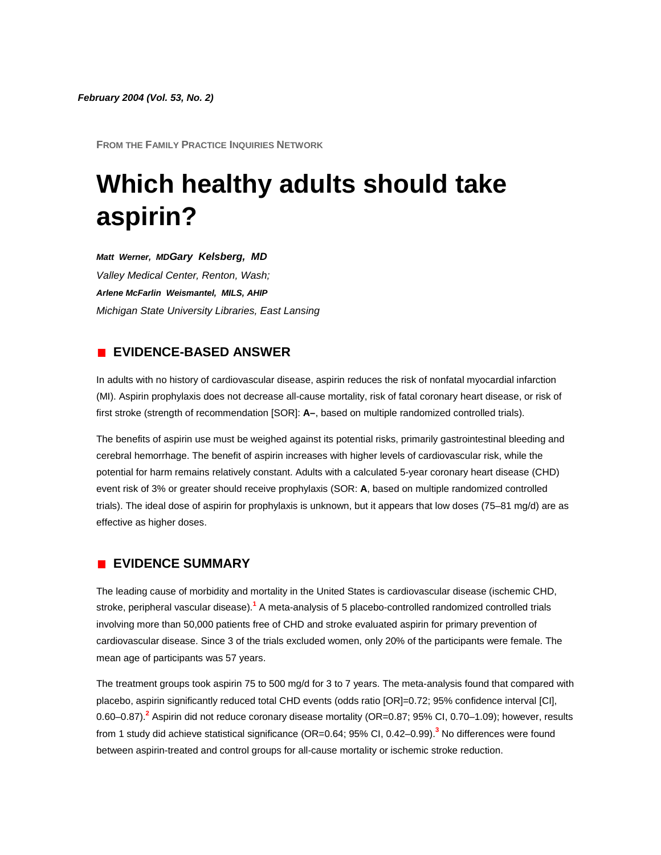**FROM THE FAMILY PRACTICE INQUIRIES NETWORK**

# **Which healthy adults should take aspirin?**

*Matt Werner, MDGary Kelsberg, MD*

*Valley Medical Center, Renton, Wash; Arlene McFarlin Weismantel, MILS, AHIP Michigan State University Libraries, East Lansing* 

## **EVIDENCE-BASED ANSWER**

In adults with no history of cardiovascular disease, aspirin reduces the risk of nonfatal myocardial infarction (MI). Aspirin prophylaxis does not decrease all-cause mortality, risk of fatal coronary heart disease, or risk of first stroke (strength of recommendation [SOR]: **A–**, based on multiple randomized controlled trials).

The benefits of aspirin use must be weighed against its potential risks, primarily gastrointestinal bleeding and cerebral hemorrhage. The benefit of aspirin increases with higher levels of cardiovascular risk, while the potential for harm remains relatively constant. Adults with a calculated 5-year coronary heart disease (CHD) event risk of 3% or greater should receive prophylaxis (SOR: **A**, based on multiple randomized controlled trials). The ideal dose of aspirin for prophylaxis is unknown, but it appears that low doses (75–81 mg/d) are as effective as higher doses.

## **EVIDENCE SUMMARY**

The leading cause of morbidity and mortality in the United States is cardiovascular disease (ischemic CHD, stroke, peripheral vascular disease[\).](http://www.jfponline.com/Pages.asp?AID=2026&issue=February_2004&UID=#bib1)**<sup>1</sup>** A meta-analysis of 5 placebo-controlled randomized controlled trials involving more than 50,000 patients free of CHD and stroke evaluated aspirin for primary prevention of cardiovascular disease. Since 3 of the trials excluded women, only 20% of the participants were female. The mean age of participants was 57 years.

The treatment groups took aspirin 75 to 500 mg/d for 3 to 7 years. The meta-analysis found that compared with placebo, aspirin significantly reduced total CHD events (odds ratio [OR]=0.72; 95% confidence interval [CI], 0.60–0.87[\).](http://www.jfponline.com/Pages.asp?AID=2026&issue=February_2004&UID=#bib2)**<sup>2</sup>** Aspirin did not reduce coronary disease mortality (OR=0.87; 95% CI, 0.70–1.09); however, results from 1 study did achieve statistical significance (OR=0.64; 95% CI, 0.42–0.99[\).](http://www.jfponline.com/Pages.asp?AID=2026&issue=February_2004&UID=#bib3)**<sup>3</sup>** No differences were found between aspirin-treated and control groups for all-cause mortality or ischemic stroke reduction.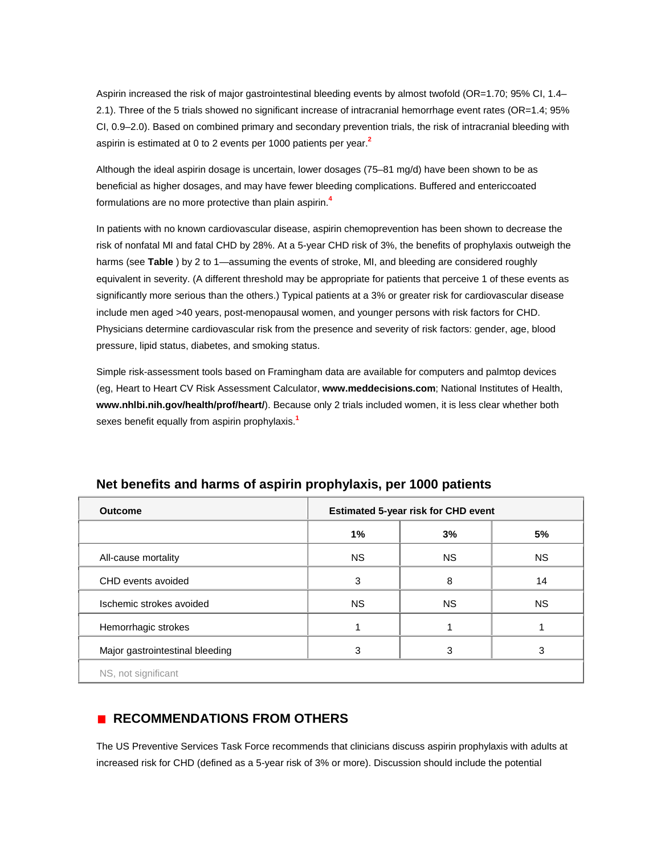Aspirin increased the risk of major gastrointestinal bleeding events by almost twofold (OR=1.70; 95% CI, 1.4– 2.1). Three of the 5 trials showed no significant increase of intracranial hemorrhage event rates (OR=1.4; 95% CI, 0.9–2.0). Based on combined primary and secondary prevention trials, the risk of intracranial bleeding with aspirin is estimated at 0 to 2 events per 1000 patients per yea[r.](http://www.jfponline.com/Pages.asp?AID=2026&issue=February_2004&UID=#bib2)**<sup>2</sup>**

Although the ideal aspirin dosage is uncertain, lower dosages (75–81 mg/d) have been shown to be as beneficial as higher dosages, and may have fewer bleeding complications. Buffered and entericcoated formulations are no more protective than plain aspirin[.](http://www.jfponline.com/Pages.asp?AID=2026&issue=February_2004&UID=#bib4)**<sup>4</sup>**

In patients with no known cardiovascular disease, aspirin chemoprevention has been shown to decrease the risk of nonfatal MI and fatal CHD by 28%. At a 5-year CHD risk of 3%, the benefits of prophylaxis outweigh the harms (see **[Table](http://www.jfponline.com/Pages.asp?AID=2026&issue=February_2004&UID=#5302JFP_ClinicalInquiries4-tab1)** ) by 2 to 1—assuming the events of stroke, MI, and bleeding are considered roughly equivalent in severity. (A different threshold may be appropriate for patients that perceive 1 of these events as significantly more serious than the others.) Typical patients at a 3% or greater risk for cardiovascular disease include men aged >40 years, post-menopausal women, and younger persons with risk factors for CHD. Physicians determine cardiovascular risk from the presence and severity of risk factors: gender, age, blood pressure, lipid status, diabetes, and smoking status.

Simple risk-assessment tools based on Framingham data are available for computers and palmtop devices (eg, Heart to Heart CV Risk Assessment Calculator, **[www.meddecisions.com](http://www.meddecisions.com/)**; National Institutes of Health, **[www.nhlbi.nih.gov/health/prof/heart/](http://www.nhlbi.nih.gov/health/prof/heart/)**). Because only 2 trials included women, it is less clear whether both sexes benefit equally from aspirin prophylaxi[s.](http://www.jfponline.com/Pages.asp?AID=2026&issue=February_2004&UID=#bib1)**<sup>1</sup>**

| <b>Outcome</b>                  | <b>Estimated 5-year risk for CHD event</b> |           |           |
|---------------------------------|--------------------------------------------|-----------|-----------|
|                                 | $1\%$                                      | 3%        | 5%        |
| All-cause mortality             | <b>NS</b>                                  | <b>NS</b> | <b>NS</b> |
| CHD events avoided              | 3                                          | 8         | 14        |
| Ischemic strokes avoided        | NS.                                        | <b>NS</b> | <b>NS</b> |
| Hemorrhagic strokes             |                                            |           |           |
| Major gastrointestinal bleeding | 3                                          | 3         | 3         |
| NS, not significant             |                                            |           |           |

# **Net benefits and harms of aspirin prophylaxis, per 1000 patients**

# **RECOMMENDATIONS FROM OTHERS**

The US Preventive Services Task Force recommends that clinicians discuss aspirin prophylaxis with adults at increased risk for CHD (defined as a 5-year risk of 3% or more). Discussion should include the potential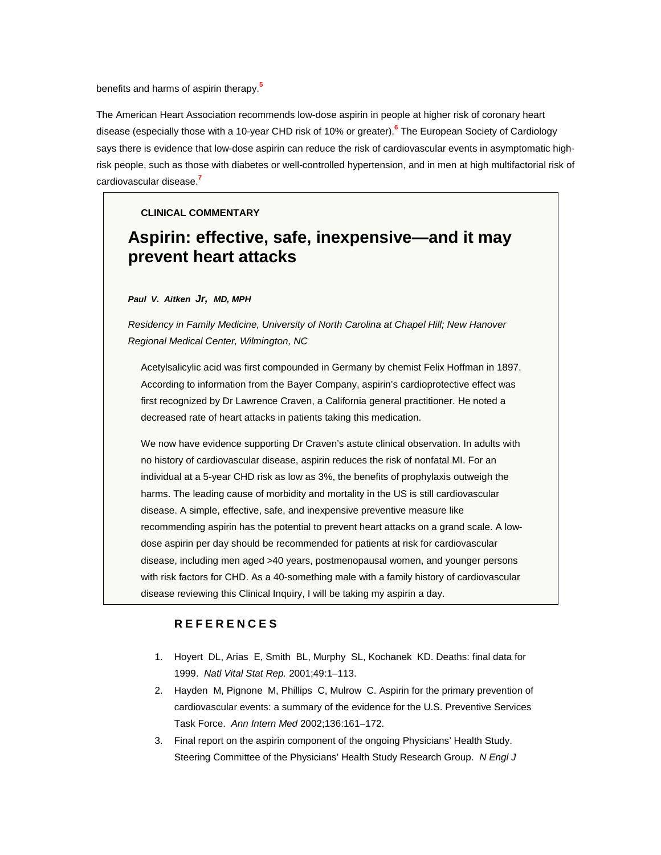benefits and harms of aspirin therap[y.](http://www.jfponline.com/Pages.asp?AID=2026&issue=February_2004&UID=#bib5)**<sup>5</sup>**

The American Heart Association recommends low-dose aspirin in people at higher risk of coronary heart disease (especially those with a 10-year CHD risk of 10% or greater[\).](http://www.jfponline.com/Pages.asp?AID=2026&issue=February_2004&UID=#bib6)**<sup>6</sup>** The European Society of Cardiology says there is evidence that low-dose aspirin can reduce the risk of cardiovascular events in asymptomatic highrisk people, such as those with diabetes or well-controlled hypertension, and in men at high multifactorial risk of cardiovascular diseas[e.](http://www.jfponline.com/Pages.asp?AID=2026&issue=February_2004&UID=#bib7)**<sup>7</sup>**

#### **CLINICAL COMMENTARY**

# **Aspirin: effective, safe, inexpensive—and it may prevent heart attacks**

#### *Paul V. Aitken Jr, MD, MPH*

*Residency in Family Medicine, University of North Carolina at Chapel Hill; New Hanover Regional Medical Center, Wilmington, NC*

Acetylsalicylic acid was first compounded in Germany by chemist Felix Hoffman in 1897. According to information from the Bayer Company, aspirin's cardioprotective effect was first recognized by Dr Lawrence Craven, a California general practitioner. He noted a decreased rate of heart attacks in patients taking this medication.

We now have evidence supporting Dr Craven's astute clinical observation. In adults with no history of cardiovascular disease, aspirin reduces the risk of nonfatal MI. For an individual at a 5-year CHD risk as low as 3%, the benefits of prophylaxis outweigh the harms. The leading cause of morbidity and mortality in the US is still cardiovascular disease. A simple, effective, safe, and inexpensive preventive measure like recommending aspirin has the potential to prevent heart attacks on a grand scale. A lowdose aspirin per day should be recommended for patients at risk for cardiovascular disease, including men aged >40 years, postmenopausal women, and younger persons with risk factors for CHD. As a 40-something male with a family history of cardiovascular disease reviewing this Clinical Inquiry, I will be taking my aspirin a day.

### **REFERENCES**

- 1. Hoyert DL, Arias E, Smith BL, Murphy SL, Kochanek KD. Deaths: final data for 1999. *Natl Vital Stat Rep.* 2001;49:1–113.
- 2. Hayden M, Pignone M, Phillips C, Mulrow C. Aspirin for the primary prevention of cardiovascular events: a summary of the evidence for the U.S. Preventive Services Task Force. *Ann Intern Med* 2002;136:161–172.
- 3. Final report on the aspirin component of the ongoing Physicians' Health Study. Steering Committee of the Physicians' Health Study Research Group. *N Engl J*